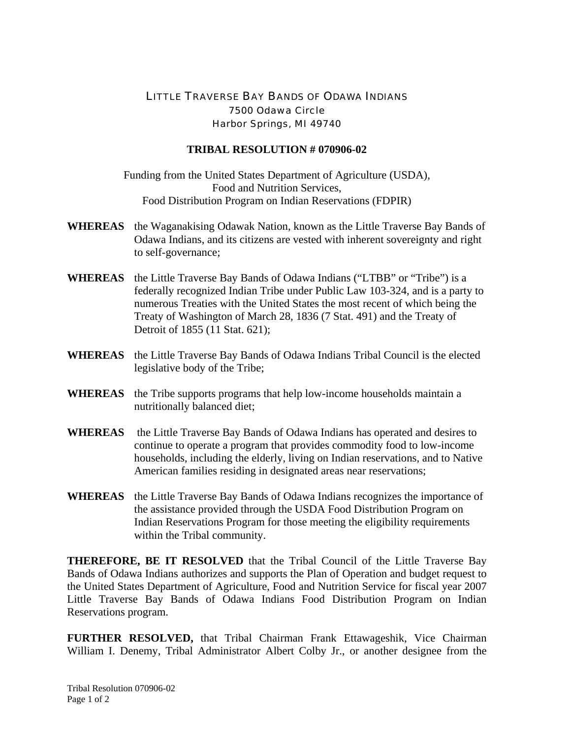## LITTLE TRAVERSE BAY BANDS OF ODAWA INDIANS 7500 Odawa Circle Harbor Springs, MI 49740

## **TRIBAL RESOLUTION # 070906-02**

Funding from the United States Department of Agriculture (USDA), Food and Nutrition Services, Food Distribution Program on Indian Reservations (FDPIR)

- **WHEREAS** the Waganakising Odawak Nation, known as the Little Traverse Bay Bands of Odawa Indians, and its citizens are vested with inherent sovereignty and right to self-governance;
- **WHEREAS** the Little Traverse Bay Bands of Odawa Indians ("LTBB" or "Tribe") is a federally recognized Indian Tribe under Public Law 103-324, and is a party to numerous Treaties with the United States the most recent of which being the Treaty of Washington of March 28, 1836 (7 Stat. 491) and the Treaty of Detroit of 1855 (11 Stat. 621);
- **WHEREAS** the Little Traverse Bay Bands of Odawa Indians Tribal Council is the elected legislative body of the Tribe;
- **WHEREAS** the Tribe supports programs that help low-income households maintain a nutritionally balanced diet;
- **WHEREAS** the Little Traverse Bay Bands of Odawa Indians has operated and desires to continue to operate a program that provides commodity food to low-income households, including the elderly, living on Indian reservations, and to Native American families residing in designated areas near reservations;
- **WHEREAS** the Little Traverse Bay Bands of Odawa Indians recognizes the importance of the assistance provided through the USDA Food Distribution Program on Indian Reservations Program for those meeting the eligibility requirements within the Tribal community.

**THEREFORE, BE IT RESOLVED** that the Tribal Council of the Little Traverse Bay Bands of Odawa Indians authorizes and supports the Plan of Operation and budget request to the United States Department of Agriculture, Food and Nutrition Service for fiscal year 2007 Little Traverse Bay Bands of Odawa Indians Food Distribution Program on Indian Reservations program.

**FURTHER RESOLVED,** that Tribal Chairman Frank Ettawageshik, Vice Chairman William I. Denemy, Tribal Administrator Albert Colby Jr., or another designee from the